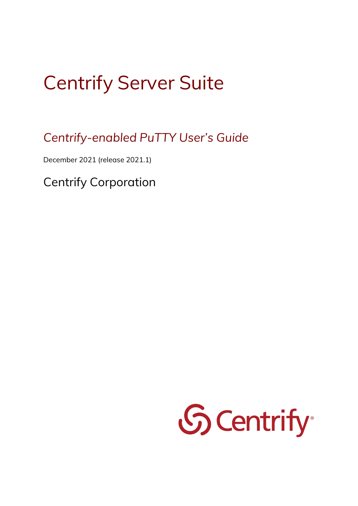## Centrify Server Suite

*Centrify-enabled PuTTY User's Guide*

December 2021 (release 2021.1)

Centrify Corporation

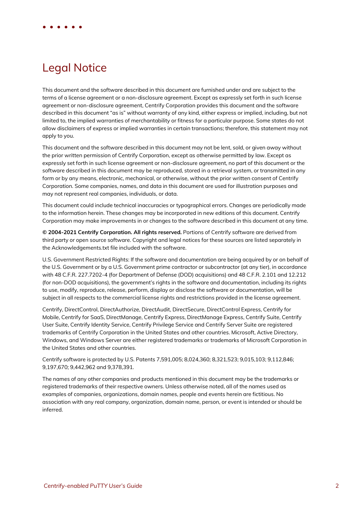## Legal Notice

This document and the software described in this document are furnished under and are subject to the terms of a license agreement or a non-disclosure agreement. Except as expressly set forth in such license agreement or non-disclosure agreement, Centrify Corporation provides this document and the software described in this document "as is" without warranty of any kind, either express or implied, including, but not limited to, the implied warranties of merchantability or fitness for a particular purpose. Some states do not allow disclaimers of express or implied warranties in certain transactions; therefore, this statement may not apply to you.

This document and the software described in this document may not be lent, sold, or given away without the prior written permission of Centrify Corporation, except as otherwise permitted by law. Except as expressly set forth in such license agreement or non-disclosure agreement, no part of this document or the software described in this document may be reproduced, stored in a retrieval system, or transmitted in any form or by any means, electronic, mechanical, or otherwise, without the prior written consent of Centrify Corporation. Some companies, names, and data in this document are used for illustration purposes and may not represent real companies, individuals, or data.

This document could include technical inaccuracies or typographical errors. Changes are periodically made to the information herein. These changes may be incorporated in new editions of this document. Centrify Corporation may make improvements in or changes to the software described in this document at any time.

**© 2004-2021 Centrify Corporation. All rights reserved.** Portions of Centrify software are derived from third party or open source software. Copyright and legal notices for these sources are listed separately in the Acknowledgements.txt file included with the software.

U.S. Government Restricted Rights: If the software and documentation are being acquired by or on behalf of the U.S. Government or by a U.S. Government prime contractor or subcontractor (at any tier), in accordance with 48 C.F.R. 227.7202-4 (for Department of Defense (DOD) acquisitions) and 48 C.F.R. 2.101 and 12.212 (for non-DOD acquisitions), the government's rights in the software and documentation, including its rights to use, modify, reproduce, release, perform, display or disclose the software or documentation, will be subject in all respects to the commercial license rights and restrictions provided in the license agreement.

Centrify, DirectControl, DirectAuthorize, DirectAudit, DirectSecure, DirectControl Express, Centrify for Mobile, Centrify for SaaS, DirectManage, Centrify Express, DirectManage Express, Centrify Suite, Centrify User Suite, Centrify Identity Service, Centrify Privilege Service and Centrify Server Suite are registered trademarks of Centrify Corporation in the United States and other countries. Microsoft, Active Directory, Windows, and Windows Server are either registered trademarks or trademarks of Microsoft Corporation in the United States and other countries.

Centrify software is protected by U.S. Patents 7,591,005; 8,024,360; 8,321,523; 9,015,103; 9,112,846; 9,197,670; 9,442,962 and 9,378,391.

The names of any other companies and products mentioned in this document may be the trademarks or registered trademarks of their respective owners. Unless otherwise noted, all of the names used as examples of companies, organizations, domain names, people and events herein are fictitious. No association with any real company, organization, domain name, person, or event is intended or should be inferred.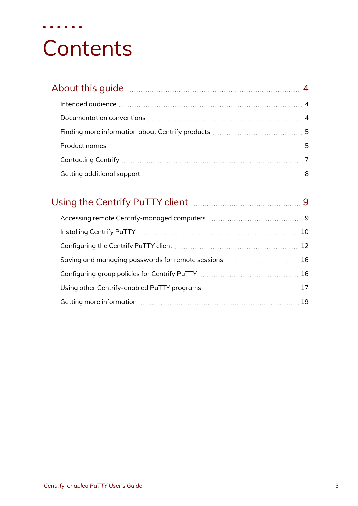# **Contents**

• • • • • •

| About this guide 44 About this duide 2010 Million and 2011 Million 2010 Million 2011 |  |
|--------------------------------------------------------------------------------------|--|
|                                                                                      |  |
|                                                                                      |  |
|                                                                                      |  |
|                                                                                      |  |
|                                                                                      |  |
|                                                                                      |  |

| Using the Centrify PuTTY client <b>Manual</b> 2008-01-10 Manual 2014 |  |
|----------------------------------------------------------------------|--|
|                                                                      |  |
|                                                                      |  |
|                                                                      |  |
|                                                                      |  |
|                                                                      |  |
|                                                                      |  |
|                                                                      |  |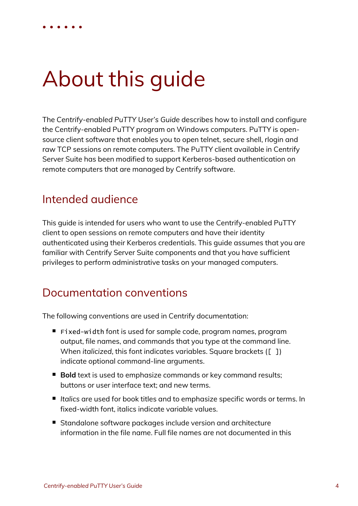## <span id="page-3-0"></span>About this guide

The *Centrify-enabled PuTTY User's Guide* describes how to install and configure the Centrify-enabled PuTTY program on Windows computers. PuTTY is opensource client software that enables you to open telnet, secure shell, rlogin and raw TCP sessions on remote computers. The PuTTY client available in Centrify Server Suite has been modified to support Kerberos-based authentication on remote computers that are managed by Centrify software.

## <span id="page-3-1"></span>Intended audience

This guide is intended for users who want to use the Centrify-enabled PuTTY client to open sessions on remote computers and have their identity authenticated using their Kerberos credentials. This guide assumes that you are familiar with Centrify Server Suite components and that you have sufficient privileges to perform administrative tasks on your managed computers.

### <span id="page-3-2"></span>Documentation conventions

The following conventions are used in Centrify documentation:

- Fixed-width font is used for sample code, program names, program output, file names, and commands that you type at the command line. When *italicized*, this font indicates variables. Square brackets ([ ]) indicate optional command-line arguments.
- **Bold** text is used to emphasize commands or key command results; buttons or user interface text; and new terms.
- Italics are used for book titles and to emphasize specific words or terms. In fixed-width font, italics indicate variable values.
- Standalone software packages include version and architecture information in the file name. Full file names are not documented in this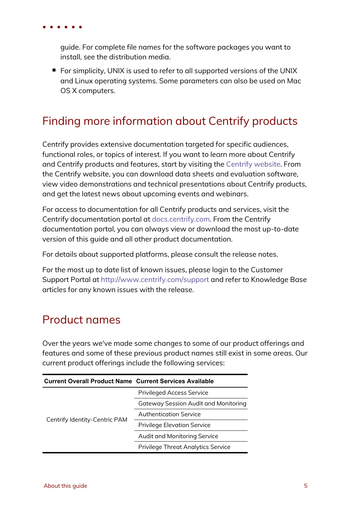guide. For complete file names for the software packages you want to install, see the distribution media.

■ For simplicity, UNIX is used to refer to all supported versions of the UNIX and Linux operating systems. Some parameters can also be used on Mac OS X computers.

## <span id="page-4-0"></span>Finding more information about Centrify products

Centrify provides extensive documentation targeted for specific audiences, functional roles, or topics of interest. If you want to learn more about Centrify and Centrify products and features, start by visiting the [Centrify](https://www.centrify.com/solutions/) website. From the Centrify website, you can download data sheets and evaluation software, view video demonstrations and technical presentations about Centrify products, and get the latest news about upcoming events and webinars.

For access to documentation for all Centrify products and services, visit the Centrify documentation portal at [docs.centrify.com](https://docs.centrify.com/). From the Centrify documentation portal, you can always view or download the most up-to-date version of this guide and all other product documentation.

For details about supported platforms, please consult the release notes.

For the most up to date list of known issues, please login to the Customer Support Portal at <http://www.centrify.com/support> and refer to Knowledge Base articles for any known issues with the release.

## <span id="page-4-1"></span>Product names

Over the years we've made some changes to some of our product offerings and features and some of these previous product names still exist in some areas. Our current product offerings include the following services:

| <b>Current Overall Product Name Current Services Available</b> |                                             |
|----------------------------------------------------------------|---------------------------------------------|
|                                                                | <b>Privileged Access Service</b>            |
|                                                                | <b>Gateway Session Audit and Monitoring</b> |
|                                                                | <b>Authentication Service</b>               |
| Centrify Identity-Centric PAM                                  | <b>Privilege Elevation Service</b>          |
|                                                                | Audit and Monitoring Service                |
|                                                                | <b>Privilege Threat Analytics Service</b>   |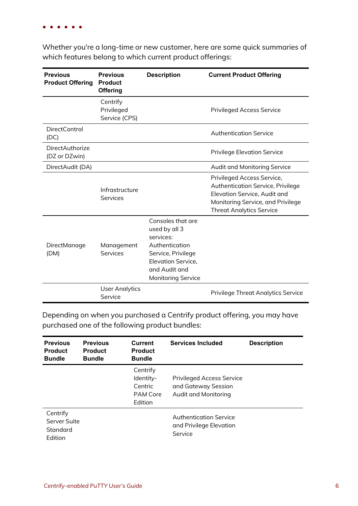Whether you're a long-time or new customer, here are some quick summaries of which features belong to which current product offerings:

| <b>Previous</b><br><b>Product Offering</b> | <b>Previous</b><br><b>Product</b><br><b>Offering</b> | <b>Description</b>                                                                                                                                                 | <b>Current Product Offering</b>                                                                                                                                         |
|--------------------------------------------|------------------------------------------------------|--------------------------------------------------------------------------------------------------------------------------------------------------------------------|-------------------------------------------------------------------------------------------------------------------------------------------------------------------------|
|                                            | Centrify<br>Privileged<br>Service (CPS)              |                                                                                                                                                                    | <b>Privileged Access Service</b>                                                                                                                                        |
| DirectControl<br>(DC)                      |                                                      |                                                                                                                                                                    | <b>Authentication Service</b>                                                                                                                                           |
| <b>DirectAuthorize</b><br>(DZ or DZwin)    |                                                      |                                                                                                                                                                    | <b>Privilege Elevation Service</b>                                                                                                                                      |
| DirectAudit (DA)                           |                                                      |                                                                                                                                                                    | Audit and Monitoring Service                                                                                                                                            |
|                                            | Infrastructure<br><b>Services</b>                    |                                                                                                                                                                    | Privileged Access Service,<br>Authentication Service, Privilege<br>Elevation Service, Audit and<br>Monitoring Service, and Privilege<br><b>Threat Analytics Service</b> |
| DirectManage<br>(DM)                       | Management<br>Services                               | Consoles that are<br>used by all 3<br>services:<br>Authentication<br>Service, Privilege<br><b>Elevation Service,</b><br>and Audit and<br><b>Monitoring Service</b> |                                                                                                                                                                         |
|                                            | <b>User Analytics</b><br>Service                     |                                                                                                                                                                    | <b>Privilege Threat Analytics Service</b>                                                                                                                               |

Depending on when you purchased a Centrify product offering, you may have purchased one of the following product bundles:

| <b>Previous</b><br><b>Product</b><br><b>Bundle</b> | <b>Previous</b><br><b>Product</b><br><b>Bundle</b> | <b>Current</b><br><b>Product</b><br><b>Bundle</b>              | <b>Services Included</b>                                                        | <b>Description</b> |
|----------------------------------------------------|----------------------------------------------------|----------------------------------------------------------------|---------------------------------------------------------------------------------|--------------------|
|                                                    |                                                    | Centrify<br>Identity-<br>Centric<br><b>PAM Core</b><br>Edition | <b>Privileged Access Service</b><br>and Gateway Session<br>Audit and Monitoring |                    |
| Centrify<br>Server Suite<br>Standard<br>Edition    |                                                    |                                                                | <b>Authentication Service</b><br>and Privilege Elevation<br>Service             |                    |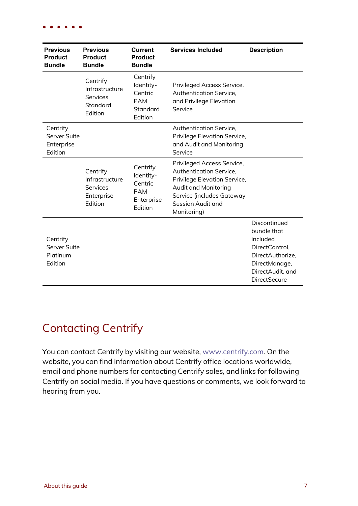| <b>Previous</b><br><b>Product</b><br><b>Bundle</b> | <b>Previous</b><br><b>Product</b><br><b>Bundle</b>                            | <b>Current</b><br><b>Product</b><br><b>Bundle</b>                       | <b>Services Included</b>                                                                                                                                                       | <b>Description</b>                                                                                                                        |
|----------------------------------------------------|-------------------------------------------------------------------------------|-------------------------------------------------------------------------|--------------------------------------------------------------------------------------------------------------------------------------------------------------------------------|-------------------------------------------------------------------------------------------------------------------------------------------|
|                                                    | Centrify<br>Infrastructure<br><b>Services</b><br>Standard<br>Edition          | Centrify<br>Identity-<br>Centric<br><b>PAM</b><br>Standard<br>Edition   | Privileged Access Service,<br>Authentication Service,<br>and Privilege Elevation<br>Service                                                                                    |                                                                                                                                           |
| Centrify<br>Server Suite<br>Enterprise<br>Edition  |                                                                               |                                                                         | Authentication Service,<br>Privilege Elevation Service,<br>and Audit and Monitoring<br>Service                                                                                 |                                                                                                                                           |
|                                                    | Centrify<br>Infrastructure<br><b>Services</b><br>Enterprise<br><b>Fdition</b> | Centrify<br>Identity-<br>Centric<br><b>PAM</b><br>Enterprise<br>Edition | Privileged Access Service,<br>Authentication Service,<br>Privilege Elevation Service,<br>Audit and Monitoring<br>Service (includes Gateway<br>Session Audit and<br>Monitoring) |                                                                                                                                           |
| Centrify<br>Server Suite<br>Platinum<br>Edition    |                                                                               |                                                                         |                                                                                                                                                                                | Discontinued<br>bundle that<br>included<br>DirectControl,<br>DirectAuthorize,<br>DirectManage,<br>DirectAudit, and<br><b>DirectSecure</b> |

## <span id="page-6-0"></span>Contacting Centrify

You can contact Centrify by visiting our website, [www.centrify.com](https://www.centrify.com/). On the website, you can find information about Centrify office locations worldwide, email and phone numbers for contacting Centrify sales, and links for following Centrify on social media. If you have questions or comments, we look forward to hearing from you.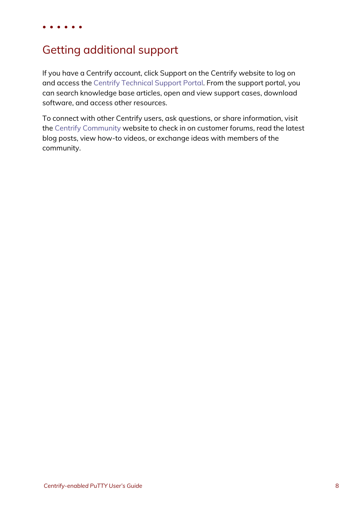## <span id="page-7-0"></span>Getting additional support

If you have a Centrify account, click Support on the Centrify website to log on and access the Centrify [Technical](https://www.centrify.com/account/login.asp?msg=loginrequired&ret=%2Fsupport%2Fportal%2Easp) Support Portal. From the support portal, you can search knowledge base articles, open and view support cases, download software, and access other resources.

To connect with other Centrify users, ask questions, or share information, visit the Centrify [Community](http://community.centrify.com/) website to check in on customer forums, read the latest blog posts, view how-to videos, or exchange ideas with members of the community.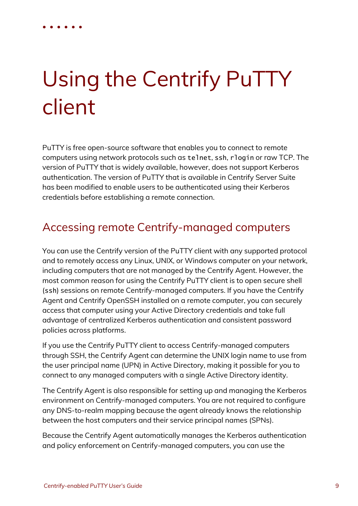## <span id="page-8-0"></span>Using the Centrify PuTTY client

PuTTY is free open-source software that enables you to connect to remote computers using network protocols such as telnet, ssh, rlogin or raw TCP. The version of PuTTY that is widely available, however, does not support Kerberos authentication. The version of PuTTY that is available in Centrify Server Suite has been modified to enable users to be authenticated using their Kerberos credentials before establishing a remote connection.

## <span id="page-8-1"></span>Accessing remote Centrify-managed computers

You can use the Centrify version of the PuTTY client with any supported protocol and to remotely access any Linux, UNIX, or Windows computer on your network, including computers that are not managed by the Centrify Agent. However, the most common reason for using the Centrify PuTTY client is to open secure shell (ssh) sessions on remote Centrify-managed computers. If you have the Centrify Agent and Centrify OpenSSH installed on a remote computer, you can securely access that computer using your Active Directory credentials and take full advantage of centralized Kerberos authentication and consistent password policies across platforms.

If you use the Centrify PuTTY client to access Centrify-managed computers through SSH, the Centrify Agent can determine the UNIX login name to use from the user principal name (UPN) in Active Directory, making it possible for you to connect to any managed computers with a single Active Directory identity.

The Centrify Agent is also responsible for setting up and managing the Kerberos environment on Centrify-managed computers. You are not required to configure any DNS-to-realm mapping because the agent already knows the relationship between the host computers and their service principal names (SPNs).

Because the Centrify Agent automatically manages the Kerberos authentication and policy enforcement on Centrify-managed computers, you can use the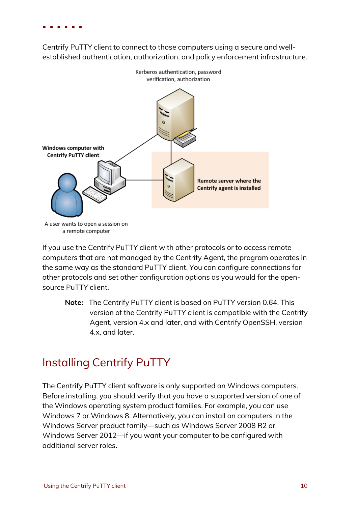Centrify PuTTY client to connect to those computers using a secure and wellestablished authentication, authorization, and policy enforcement infrastructure.



a remote computer

If you use the Centrify PuTTY client with other protocols or to access remote computers that are not managed by the Centrify Agent, the program operates in the same way as the standard PuTTY client. You can configure connections for other protocols and set other configuration options as you would for the opensource PuTTY client.

**Note:** The Centrify PuTTY client is based on PuTTY version 0.64. This version of the Centrify PuTTY client is compatible with the Centrify Agent, version 4.x and later, and with Centrify OpenSSH, version 4.x, and later.

## <span id="page-9-0"></span>Installing Centrify PuTTY

The Centrify PuTTY client software is only supported on Windows computers. Before installing, you should verify that you have a supported version of one of the Windows operating system product families. For example, you can use Windows 7 or Windows 8. Alternatively, you can install on computers in the Windows Server product family—such as Windows Server 2008 R2 or Windows Server 2012—if you want your computer to be configured with additional server roles.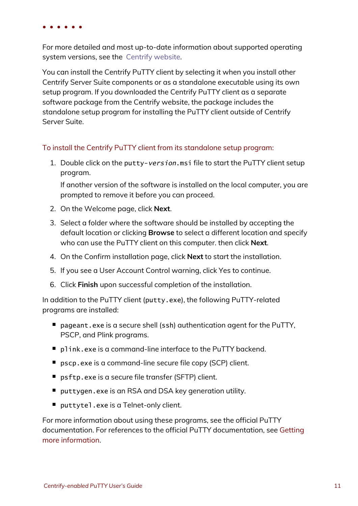For more detailed and most up-to-date information about supported operating system versions, see the Centrify [website.](http://www.centrify.com/pam/platforms)

You can install the Centrify PuTTY client by selecting it when you install other Centrify Server Suite components or as a standalone executable using its own setup program. If you downloaded the Centrify PuTTY client as a separate software package from the Centrify website, the package includes the standalone setup program for installing the PuTTY client outside of Centrify Server Suite.

#### To install the Centrify PuTTY client from its standalone setup program:

1. Double click on the putty-version.msi file to start the PuTTY client setup program.

If another version of the software is installed on the local computer, you are prompted to remove it before you can proceed.

- 2. On the Welcome page, click **Next**.
- 3. Select a folder where the software should be installed by accepting the default location or clicking **Browse** to select a different location and specify who can use the PuTTY client on this computer. then click **Next**.
- 4. On the Confirm installation page, click **Next** to start the installation.
- 5. If you see a User Account Control warning, click Yes to continue.
- 6. Click **Finish** upon successful completion of the installation.

In addition to the PuTTY client (putty.exe), the following PuTTY-related programs are installed:

- $\blacksquare$  pageant.exe is a secure shell (ssh) authentication agent for the PuTTY, PSCP, and Plink programs.
- plink.exe is a command-line interface to the PuTTY backend.
- pscp.exe is a command-line secure file copy (SCP) client.
- psftp.exe is a secure file transfer (SFTP) client.
- puttygen.exe is an RSA and DSA key generation utility.
- $\blacksquare$  puttytel.exe is a Telnet-only client.

For more information about using these programs, see the official PuTTY documentation. For references to the official PuTTY documentation, see [Getting](#page-18-0) more [information](#page-18-0).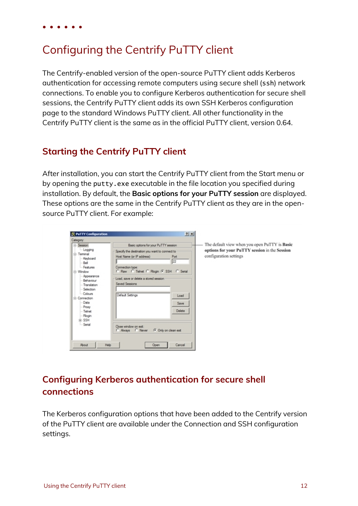## <span id="page-11-0"></span>Configuring the Centrify PuTTY client

The Centrify-enabled version of the open-source PuTTY client adds Kerberos authentication for accessing remote computers using secure shell (ssh) network connections. To enable you to configure Kerberos authentication for secure shell sessions, the Centrify PuTTY client adds its own SSH Kerberos configuration page to the standard Windows PuTTY client. All other functionality in the Centrify PuTTY client is the same as in the official PuTTY client, version 0.64.

#### **Starting the Centrify PuTTY client**

After installation, you can start the Centrify PuTTY client from the Start menu or by opening the putty.exe executable in the file location you specified during installation. By default, the **Basic options for your PuTTY session** are displayed. These options are the same in the Centrify PuTTY client as they are in the opensource PuTTY client. For example:

| Category:               |                                                | The default view when you open PuTTY is Basic |
|-------------------------|------------------------------------------------|-----------------------------------------------|
| - Session               | Basic options for your PuTTY session           |                                               |
| - Logging<br>E-Terminal | Specify the destination you want to connect to | options for your PuTTY session in the Session |
| Keyboard                | Host Name (or IP address)<br>Port              | configuration settings                        |
| Bell                    | 22                                             |                                               |
| - Features              | Connection type:                               |                                               |
| E-Window                | C Raw C Telnet C Riogin G SSH C Serial         |                                               |
| Appearance              |                                                |                                               |
| Behaviour               | Load, save or delete a stored session          |                                               |
| - Translation           | Saved Sessions                                 |                                               |
| Selection               |                                                |                                               |
| Colours                 | Default Settings                               |                                               |
| F-Connection            | Load                                           |                                               |
| Data                    | Save                                           |                                               |
| Praxy                   |                                                |                                               |
| - Teinet                | <b>Delete</b>                                  |                                               |
| Riogin                  |                                                |                                               |
| G-SSH                   |                                                |                                               |
| - Serial                | Close window on ext:                           |                                               |
|                         | C Always C Never<br><b>G</b> Only on clean ext |                                               |
|                         |                                                |                                               |
|                         |                                                |                                               |
| Help<br><b>About</b>    | Cancel<br>Open                                 |                                               |

### **Configuring Kerberos authentication for secure shell connections**

The Kerberos configuration options that have been added to the Centrify version of the PuTTY client are available under the Connection and SSH configuration settings.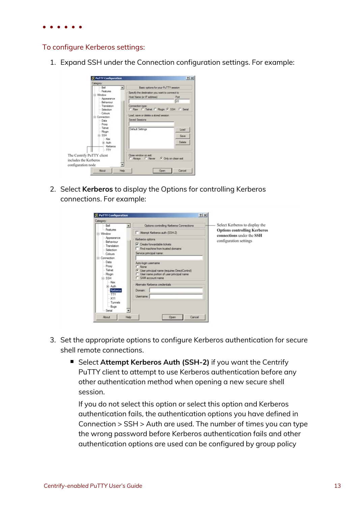#### To configure Kerberos settings:

1. Expand SSH under the Connection configuration settings. For example:



2. Select **Kerberos** to display the Options for controlling Kerberos connections. For example:

| Category:<br>Bell          | Select Kerberos to display the<br>Options controlling Kerberos Connections |  |
|----------------------------|----------------------------------------------------------------------------|--|
| Features<br>(=) Window     | <b>Options controlling Kerberos</b><br>Attempt Kerberos auth (SSH-2)       |  |
| Appearance                 | connections under the SSH<br>Kerberos options<br>configuration settings    |  |
| Behaviour                  | $\nabla$ Create forwardable tickets                                        |  |
| - Translation<br>Selection | Find machine from trusted domains                                          |  |
| Colours                    | Service principal name:                                                    |  |
| <b>E</b> -Connection       |                                                                            |  |
| Data                       |                                                                            |  |
| Proxy                      | Auto-login usemame<br>$C$ None                                             |  |
| Telnet                     | <b>C</b> User principal name (requires DirectControl)                      |  |
| Rlogin                     | C User name portion of user principal name                                 |  |
| E-SSH                      | C SAM account name                                                         |  |
| Kex                        | Abernate Kerberos credentials                                              |  |
| (ii) Auth                  |                                                                            |  |
| Kerberos                   | Domain:                                                                    |  |
| $-TTY$                     | Usemame:                                                                   |  |
| X11                        |                                                                            |  |
| - Tunnels                  |                                                                            |  |
| $-$ Bugs<br>Serial         |                                                                            |  |

- 3. Set the appropriate options to configure Kerberos authentication for secure shell remote connections.
	- Select Attempt Kerberos Auth (SSH-2) if you want the Centrify PuTTY client to attempt to use Kerberos authentication before any other authentication method when opening a new secure shell session.

If you do not select this option or select this option and Kerberos authentication fails, the authentication options you have defined in Connection > SSH > Auth are used. The number of times you can type the wrong password before Kerberos authentication fails and other authentication options are used can be configured by group policy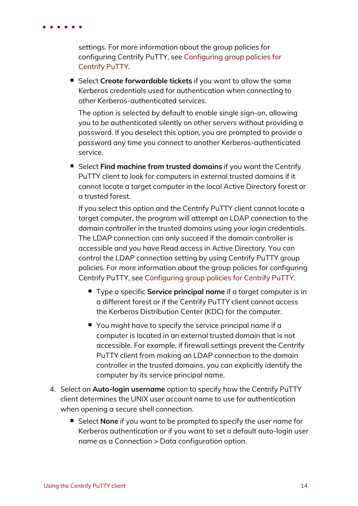settings. For more information about the group policies for configuring Centrify PuTTY, see [Configuring](#page-15-1) group policies for [Centrify](#page-15-1) PuTTY.

■ Select **Create forwardable tickets** if you want to allow the same Kerberos credentials used for authentication when connecting to other Kerberos-authenticated services.

The option is selected by default to enable single sign-on, allowing you to be authenticated silently on other servers without providing a password. If you deselect this option, you are prompted to provide a password any time you connect to another Kerberos-authenticated service.

n Select **Find machine from trusted domains** if you want the Centrify PuTTY client to look for computers in external trusted domains if it cannot locate a target computer in the local Active Directory forest or a trusted forest.

If you select this option and the Centrify PuTTY client cannot locate a target computer, the program will attempt an LDAP connection to the domain controller in the trusted domains using your login credentials. The LDAP connection can only succeed if the domain controller is accessible and you have Read access in Active Directory. You can control the LDAP connection setting by using Centrify PuTTY group policies. For more information about the group policies for configuring Centrify PuTTY, see [Configuring](#page-15-1) group policies for Centrify PuTTY.

- Type a specific **Service principal name** if a target computer is in a different forest or if the Centrify PuTTY client cannot access the Kerberos Distribution Center (KDC) for the computer.
- $\blacksquare$  You might have to specify the service principal name if a computer is located in an external trusted domain that is not accessible. For example, if firewall settings prevent the Centrify PuTTY client from making an LDAP connection to the domain controller in the trusted domains, you can explicitly identify the computer by its service principal name.
- 4. Select an **Auto-login username** option to specify how the Centrify PuTTY client determines the UNIX user account name to use for authentication when opening a secure shell connection.
	- Select **None** if you want to be prompted to specify the user name for Kerberos authentication or if you want to set a default auto-login user name as a Connection > Data configuration option.

• • • • • •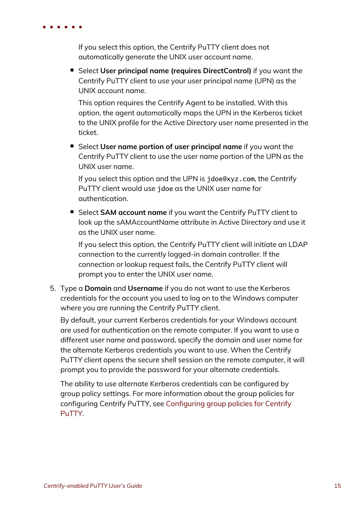If you select this option, the Centrify PuTTY client does not automatically generate the UNIX user account name.

n Select **User principal name (requires DirectControl)** if you want the Centrify PuTTY client to use your user principal name (UPN) as the UNIX account name.

This option requires the Centrify Agent to be installed. With this option, the agent automatically maps the UPN in the Kerberos ticket to the UNIX profile for the Active Directory user name presented in the ticket.

n Select **User name portion of user principal name** if you want the Centrify PuTTY client to use the user name portion of the UPN as the UNIX user name.

If you select this option and the UPN is jdoe@xyz.com, the Centrify PuTTY client would use jdoe as the UNIX user name for authentication.

■ Select **SAM account name** if you want the Centrify PuTTY client to look up the sAMAccountName attribute in Active Directory and use it as the UNIX user name.

If you select this option, the Centrify PuTTY client will initiate an LDAP connection to the currently logged-in domain controller. If the connection or lookup request fails, the Centrify PuTTY client will prompt you to enter the UNIX user name.

5. Type a **Domain** and **Username** if you do not want to use the Kerberos credentials for the account you used to log on to the Windows computer where you are running the Centrify PuTTY client.

By default, your current Kerberos credentials for your Windows account are used for authentication on the remote computer. If you want to use a different user name and password, specify the domain and user name for the alternate Kerberos credentials you want to use. When the Centrify PuTTY client opens the secure shell session on the remote computer, it will prompt you to provide the password for your alternate credentials.

The ability to use alternate Kerberos credentials can be configured by group policy settings. For more information about the group policies for configuring Centrify PuTTY, see [Configuring](#page-15-1) group policies for Centrify [PuTTY.](#page-15-1)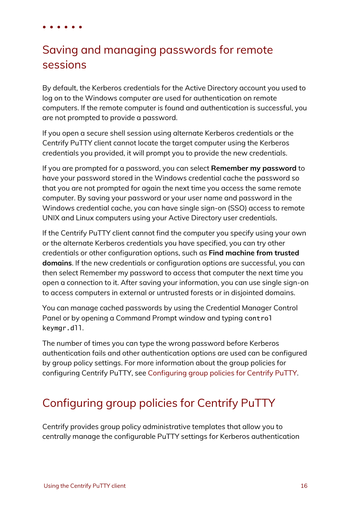## <span id="page-15-0"></span>Saving and managing passwords for remote sessions

By default, the Kerberos credentials for the Active Directory account you used to log on to the Windows computer are used for authentication on remote computers. If the remote computer is found and authentication is successful, you are not prompted to provide a password.

If you open a secure shell session using alternate Kerberos credentials or the Centrify PuTTY client cannot locate the target computer using the Kerberos credentials you provided, it will prompt you to provide the new credentials.

If you are prompted for a password, you can select **Remember my password** to have your password stored in the Windows credential cache the password so that you are not prompted for again the next time you access the same remote computer. By saving your password or your user name and password in the Windows credential cache, you can have single sign-on (SSO) access to remote UNIX and Linux computers using your Active Directory user credentials.

If the Centrify PuTTY client cannot find the computer you specify using your own or the alternate Kerberos credentials you have specified, you can try other credentials or other configuration options, such as **Find machine from trusted domains**. If the new credentials or configuration options are successful, you can then select Remember my password to access that computer the next time you open a connection to it. After saving your information, you can use single sign-on to access computers in external or untrusted forests or in disjointed domains.

You can manage cached passwords by using the Credential Manager Control Panel or by opening a Command Prompt window and typing control keymgr.dll.

The number of times you can type the wrong password before Kerberos authentication fails and other authentication options are used can be configured by group policy settings. For more information about the group policies for configuring Centrify PuTTY, see [Configuring](#page-15-1) group policies for Centrify PuTTY.

## <span id="page-15-1"></span>Configuring group policies for Centrify PuTTY

Centrify provides group policy administrative templates that allow you to centrally manage the configurable PuTTY settings for Kerberos authentication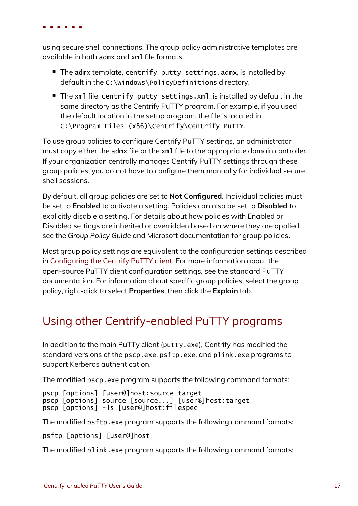using secure shell connections. The group policy administrative templates are available in both admx and xml file formats.

- The admx template, centrify\_putty\_settings.admx, is installed by default in the C:\Windows\PolicyDefinitions directory.
- The xml file, centrify\_putty\_settings.xml, is installed by default in the same directory as the Centrify PuTTY program. For example, if you used the default location in the setup program, the file is located in C:\Program Files (x86)\Centrify\Centrify PuTTY.

To use group policies to configure Centrify PuTTY settings, an administrator must copy either the admx file or the xml file to the appropriate domain controller. If your organization centrally manages Centrify PuTTY settings through these group policies, you do not have to configure them manually for individual secure shell sessions.

By default, all group policies are set to **Not Configured**. Individual policies must be set to **Enabled** to activate a setting. Policies can also be set to **Disabled** to explicitly disable a setting. For details about how policies with Enabled or Disabled settings are inherited or overridden based on where they are applied, see the *Group Policy Guide* and Microsoft documentation for group policies.

Most group policy settings are equivalent to the configuration settings described in [Configuring](#page-11-0) the Centrify PuTTY client. For more information about the open-source PuTTY client configuration settings, see the standard PuTTY documentation. For information about specific group policies, select the group policy, right-click to select **Properties**, then click the **Explain** tab.

## <span id="page-16-0"></span>Using other Centrify-enabled PuTTY programs

In addition to the main PuTTy client (putty.exe), Centrify has modified the standard versions of the pscp.exe, psftp.exe, and plink.exe programs to support Kerberos authentication.

The modified pscp, exe program supports the following command formats:

```
pscp [options] [user@]host:source target
pscp [options] source [source...] [user@]host:target
pscp [options] -ls [user@]host:filespec
```
The modified psftp.exe program supports the following command formats:

psftp [options] [user@]host

The modified p1ink.exe program supports the following command formats: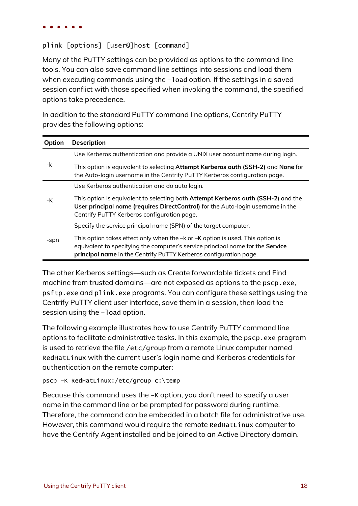#### plink [options] [user@]host [command]

Many of the PuTTY settings can be provided as options to the command line tools. You can also save command line settings into sessions and load them when executing commands using the -load option. If the settings in a saved session conflict with those specified when invoking the command, the specified options take precedence.

In addition to the standard PuTTY command line options, Centrify PuTTY provides the following options:

| Option | <b>Description</b>                                                                                                                                                                                                                    |
|--------|---------------------------------------------------------------------------------------------------------------------------------------------------------------------------------------------------------------------------------------|
|        | Use Kerberos authentication and provide a UNIX user account name during login.                                                                                                                                                        |
| -k     | This option is equivalent to selecting Attempt Kerberos auth (SSH-2) and None for<br>the Auto-login username in the Centrify PuTTY Kerberos configuration page.                                                                       |
|        | Use Kerberos authentication and do auto login.                                                                                                                                                                                        |
| -K     | This option is equivalent to selecting both Attempt Kerberos auth (SSH-2) and the<br>User principal name (requires DirectControl) for the Auto-login username in the<br>Centrify PuTTY Kerberos configuration page.                   |
|        | Specify the service principal name (SPN) of the target computer.                                                                                                                                                                      |
| -spn   | This option takes effect only when the -k or -K option is used. This option is<br>equivalent to specifying the computer's service principal name for the Service<br>principal name in the Centrify PuTTY Kerberos configuration page. |

The other Kerberos settings—such as Create forwardable tickets and Find machine from trusted domains—are not exposed as options to the pscp.exe, psftp.exe and plink.exe programs. You can configure these settings using the Centrify PuTTY client user interface, save them in a session, then load the session using the -load option.

The following example illustrates how to use Centrify PuTTY command line options to facilitate administrative tasks. In this example, the pscp.exe program is used to retrieve the file /etc/group from a remote Linux computer named RedHatLinux with the current user's login name and Kerberos credentials for authentication on the remote computer:

```
pscp –K RedHatLinux:/etc/group c:\temp
```
Because this command uses the -K option, you don't need to specify a user name in the command line or be prompted for password during runtime. Therefore, the command can be embedded in a batch file for administrative use. However, this command would require the remote RedHatLinux computer to have the Centrify Agent installed and be joined to an Active Directory domain.